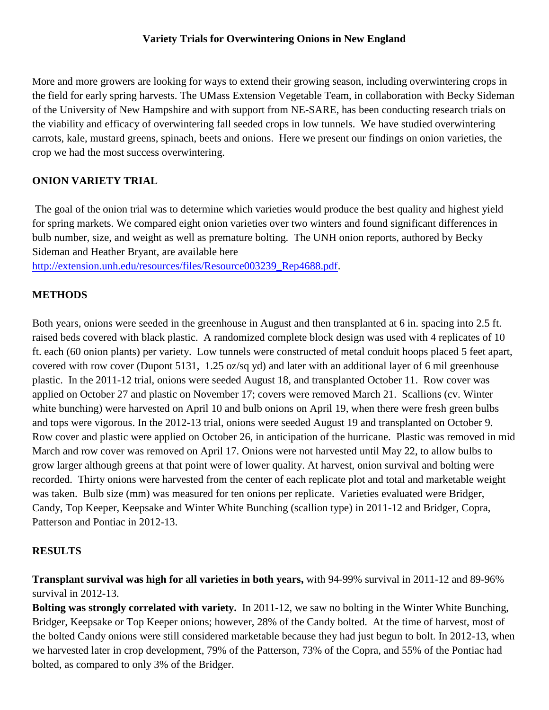#### **Variety Trials for Overwintering Onions in New England**

More and more growers are looking for ways to extend their growing season, including overwintering crops in the field for early spring harvests. The UMass Extension Vegetable Team, in collaboration with Becky Sideman of the University of New Hampshire and with support from NE-SARE, has been conducting research trials on the viability and efficacy of overwintering fall seeded crops in low tunnels. We have studied overwintering carrots, kale, mustard greens, spinach, beets and onions. Here we present our findings on onion varieties, the crop we had the most success overwintering.

# **ONION VARIETY TRIAL**

The goal of the onion trial was to determine which varieties would produce the best quality and highest yield for spring markets. We compared eight onion varieties over two winters and found significant differences in bulb number, size, and weight as well as premature bolting. The UNH onion reports, authored by Becky Sideman and Heather Bryant, are available here

[http://extension.unh.edu/resources/files/Resource003239\\_Rep4688.pdf.](http://extension.unh.edu/resources/files/Resource003239_Rep4688.pdf)

# **METHODS**

Both years, onions were seeded in the greenhouse in August and then transplanted at 6 in. spacing into 2.5 ft. raised beds covered with black plastic. A randomized complete block design was used with 4 replicates of 10 ft. each (60 onion plants) per variety. Low tunnels were constructed of metal conduit hoops placed 5 feet apart, covered with row cover (Dupont 5131, 1.25 oz/sq yd) and later with an additional layer of 6 mil greenhouse plastic. In the 2011-12 trial, onions were seeded August 18, and transplanted October 11. Row cover was applied on October 27 and plastic on November 17; covers were removed March 21. Scallions (cv. Winter white bunching) were harvested on April 10 and bulb onions on April 19, when there were fresh green bulbs and tops were vigorous. In the 2012-13 trial, onions were seeded August 19 and transplanted on October 9. Row cover and plastic were applied on October 26, in anticipation of the hurricane. Plastic was removed in mid March and row cover was removed on April 17. Onions were not harvested until May 22, to allow bulbs to grow larger although greens at that point were of lower quality. At harvest, onion survival and bolting were recorded. Thirty onions were harvested from the center of each replicate plot and total and marketable weight was taken. Bulb size (mm) was measured for ten onions per replicate. Varieties evaluated were Bridger, Candy, Top Keeper, Keepsake and Winter White Bunching (scallion type) in 2011-12 and Bridger, Copra, Patterson and Pontiac in 2012-13.

#### **RESULTS**

**Transplant survival was high for all varieties in both years,** with 94-99% survival in 2011-12 and 89-96% survival in 2012-13.

**Bolting was strongly correlated with variety.** In 2011-12, we saw no bolting in the Winter White Bunching, Bridger, Keepsake or Top Keeper onions; however, 28% of the Candy bolted. At the time of harvest, most of the bolted Candy onions were still considered marketable because they had just begun to bolt. In 2012-13, when we harvested later in crop development, 79% of the Patterson, 73% of the Copra, and 55% of the Pontiac had bolted, as compared to only 3% of the Bridger.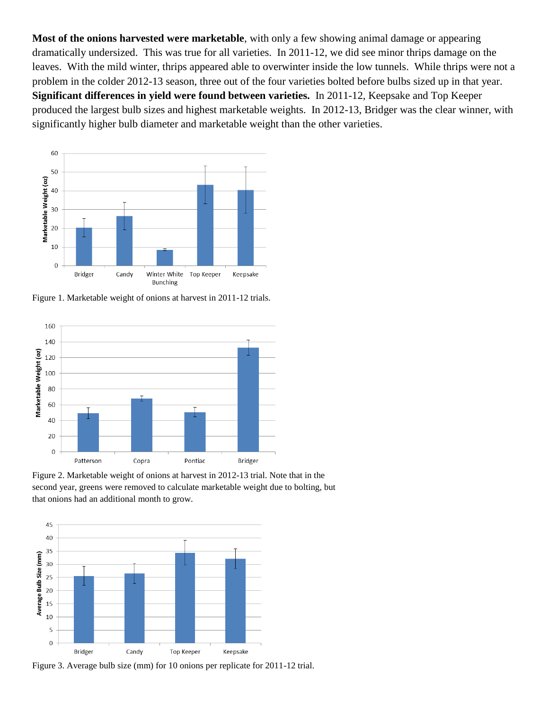**Most of the onions harvested were marketable**, with only a few showing animal damage or appearing dramatically undersized. This was true for all varieties. In 2011-12, we did see minor thrips damage on the leaves. With the mild winter, thrips appeared able to overwinter inside the low tunnels. While thrips were not a problem in the colder 2012-13 season, three out of the four varieties bolted before bulbs sized up in that year. **Significant differences in yield were found between varieties.** In 2011-12, Keepsake and Top Keeper produced the largest bulb sizes and highest marketable weights. In 2012-13, Bridger was the clear winner, with significantly higher bulb diameter and marketable weight than the other varieties.



Figure 1. Marketable weight of onions at harvest in 2011-12 trials.



Figure 2. Marketable weight of onions at harvest in 2012-13 trial. Note that in the second year, greens were removed to calculate marketable weight due to bolting, but that onions had an additional month to grow.



Figure 3. Average bulb size (mm) for 10 onions per replicate for 2011-12 trial.